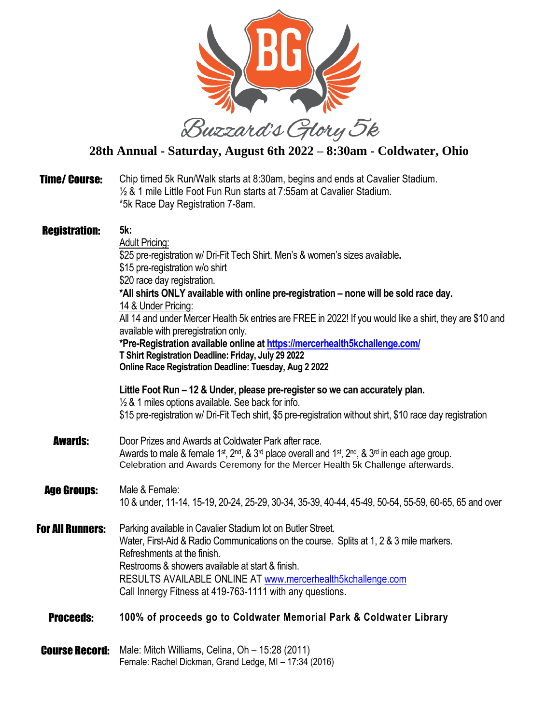

## **28th Annual - Saturday, August 6th 2022 – 8:30am - Coldwater, Ohio**

| <b>Time/Course:</b>     | Chip timed 5k Run/Walk starts at 8:30am, begins and ends at Cavalier Stadium.<br>1/2 & 1 mile Little Foot Fun Run starts at 7:55am at Cavalier Stadium.<br>*5k Race Day Registration 7-8am.                                                                                                                                                                                                                                                                                                                                                                                                                                                               |
|-------------------------|-----------------------------------------------------------------------------------------------------------------------------------------------------------------------------------------------------------------------------------------------------------------------------------------------------------------------------------------------------------------------------------------------------------------------------------------------------------------------------------------------------------------------------------------------------------------------------------------------------------------------------------------------------------|
| <b>Registration:</b>    | 5k:<br><b>Adult Pricing:</b><br>\$25 pre-registration w/ Dri-Fit Tech Shirt. Men's & women's sizes available.<br>\$15 pre-registration w/o shirt<br>\$20 race day registration.<br>*All shirts ONLY available with online pre-registration - none will be sold race day.<br>14 & Under Pricing:<br>All 14 and under Mercer Health 5k entries are FREE in 2022! If you would like a shirt, they are \$10 and<br>available with preregistration only.<br>*Pre-Registration available online at https://mercerhealth5kchallenge.com/<br>T Shirt Registration Deadline: Friday, July 29 2022<br><b>Online Race Registration Deadline: Tuesday, Aug 2 2022</b> |
|                         | Little Foot Run – 12 & Under, please pre-register so we can accurately plan.<br>1/2 & 1 miles options available. See back for info.<br>\$15 pre-registration w/ Dri-Fit Tech shirt, \$5 pre-registration without shirt, \$10 race day registration                                                                                                                                                                                                                                                                                                                                                                                                        |
| <b>Awards:</b>          | Door Prizes and Awards at Coldwater Park after race.<br>Awards to male & female 1 <sup>st</sup> , 2 <sup>nd</sup> , & 3 <sup>rd</sup> place overall and 1 <sup>st</sup> , 2 <sup>nd</sup> , & 3 <sup>rd</sup> in each age group.<br>Celebration and Awards Ceremony for the Mercer Health 5k Challenge afterwards.                                                                                                                                                                                                                                                                                                                                        |
| <b>Age Groups:</b>      | Male & Female:<br>10 & under, 11-14, 15-19, 20-24, 25-29, 30-34, 35-39, 40-44, 45-49, 50-54, 55-59, 60-65, 65 and over                                                                                                                                                                                                                                                                                                                                                                                                                                                                                                                                    |
| <b>For All Runners:</b> | Parking available in Cavalier Stadium lot on Butler Street.<br>Water, First-Aid & Radio Communications on the course. Splits at 1, 2 & 3 mile markers.<br>Refreshments at the finish.<br>Restrooms & showers available at start & finish.<br>RESULTS AVAILABLE ONLINE AT www.mercerhealth5kchallenge.com<br>Call Innergy Fitness at 419-763-1111 with any questions.                                                                                                                                                                                                                                                                                      |
| <b>Proceeds:</b>        | 100% of proceeds go to Coldwater Memorial Park & Coldwater Library                                                                                                                                                                                                                                                                                                                                                                                                                                                                                                                                                                                        |
| <b>Course Record:</b>   | Male: Mitch Williams, Celina, Oh - 15:28 (2011)<br>Female: Rachel Dickman, Grand Ledge, MI - 17:34 (2016)                                                                                                                                                                                                                                                                                                                                                                                                                                                                                                                                                 |